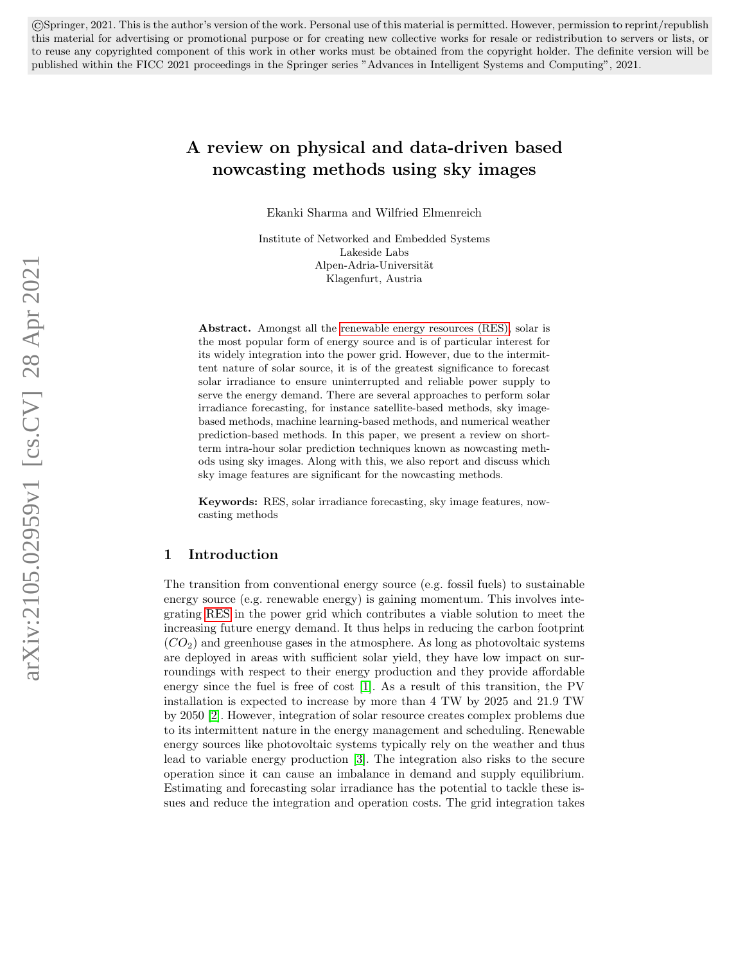<span id="page-0-0"></span>©Springer, 2021. This is the author's version of the work. Personal use of this material is permitted. However, permission to reprint/republish this material for advertising or promotional purpose or for creating new collective works for resale or redistribution to servers or lists, or to reuse any copyrighted component of this work in other works must be obtained from the copyright holder. The definite version will be published within the FICC 2021 proceedings in the Springer series "Advances in Intelligent Systems and Computing", 2021.

# A review on physical and data-driven based nowcasting methods using sky images

Ekanki Sharma and Wilfried Elmenreich

Institute of Networked and Embedded Systems Lakeside Labs Alpen-Adria-Universität Klagenfurt, Austria

Abstract. Amongst all the renewable energy resources (RES), solar is the most popular form of energy source and is of particular interest for its widely integration into the power grid. However, due to the intermittent nature of solar source, it is of the greatest significance to forecast solar irradiance to ensure uninterrupted and reliable power supply to serve the energy demand. There are several approaches to perform solar irradiance forecasting, for instance satellite-based methods, sky imagebased methods, machine learning-based methods, and numerical weather prediction-based methods. In this paper, we present a review on shortterm intra-hour solar prediction techniques known as nowcasting methods using sky images. Along with this, we also report and discuss which sky image features are significant for the nowcasting methods.

Keywords: RES, solar irradiance forecasting, sky image features, nowcasting methods

### 1 Introduction

The transition from conventional energy source (e.g. fossil fuels) to sustainable energy source (e.g. renewable energy) is gaining momentum. This involves integrating RES in the power grid which contributes a viable solution to meet the increasing future energy demand. It thus helps in reducing the carbon footprint  $(CO<sub>2</sub>)$  and greenhouse gases in the atmosphere. As long as photovoltaic systems are deployed in areas with sufficient solar yield, they have low impact on surroundings with respect to their energy production and they provide affordable energy since the fuel is free of cost [\[1\]](#page-16-0). As a result of this transition, the PV installation is expected to increase by more than 4 TW by 2025 and 21.9 TW by 2050 [\[2\]](#page-16-1). However, integration of solar resource creates complex problems due to its intermittent nature in the energy management and scheduling. Renewable energy sources like photovoltaic systems typically rely on the weather and thus lead to variable energy production [\[3\]](#page-16-2). The integration also risks to the secure operation since it can cause an imbalance in demand and supply equilibrium. Estimating and forecasting solar irradiance has the potential to tackle these issues and reduce the integration and operation costs. The grid integration takes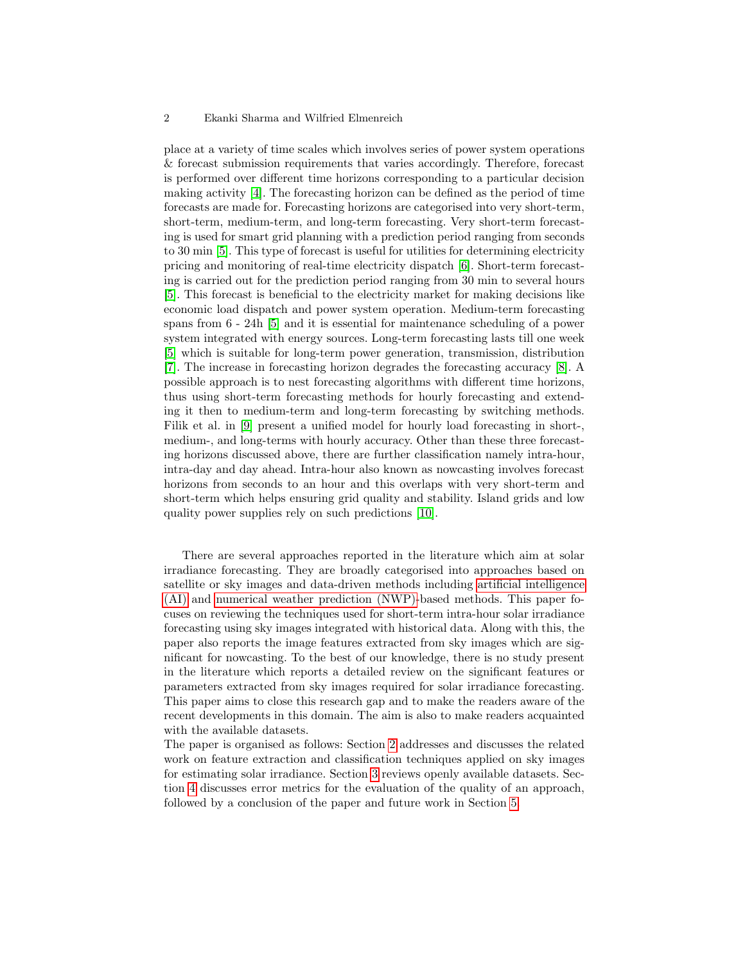place at a variety of time scales which involves series of power system operations & forecast submission requirements that varies accordingly. Therefore, forecast is performed over different time horizons corresponding to a particular decision making activity [\[4\]](#page-17-0). The forecasting horizon can be defined as the period of time forecasts are made for. Forecasting horizons are categorised into very short-term, short-term, medium-term, and long-term forecasting. Very short-term forecasting is used for smart grid planning with a prediction period ranging from seconds to 30 min [\[5\]](#page-17-1). This type of forecast is useful for utilities for determining electricity pricing and monitoring of real-time electricity dispatch [\[6\]](#page-17-2). Short-term forecasting is carried out for the prediction period ranging from 30 min to several hours [\[5\]](#page-17-1). This forecast is beneficial to the electricity market for making decisions like economic load dispatch and power system operation. Medium-term forecasting spans from 6 - 24h [\[5\]](#page-17-1) and it is essential for maintenance scheduling of a power system integrated with energy sources. Long-term forecasting lasts till one week [\[5\]](#page-17-1) which is suitable for long-term power generation, transmission, distribution [\[7\]](#page-17-3). The increase in forecasting horizon degrades the forecasting accuracy [\[8\]](#page-17-4). A possible approach is to nest forecasting algorithms with different time horizons, thus using short-term forecasting methods for hourly forecasting and extending it then to medium-term and long-term forecasting by switching methods. Filik et al. in [\[9\]](#page-17-5) present a unified model for hourly load forecasting in short-, medium-, and long-terms with hourly accuracy. Other than these three forecasting horizons discussed above, there are further classification namely intra-hour, intra-day and day ahead. Intra-hour also known as nowcasting involves forecast horizons from seconds to an hour and this overlaps with very short-term and short-term which helps ensuring grid quality and stability. Island grids and low quality power supplies rely on such predictions [\[10\]](#page-17-6).

There are several approaches reported in the literature which aim at solar irradiance forecasting. They are broadly categorised into approaches based on satellite or sky images and data-driven methods including [artificial intelligence](#page-0-0) [\(AI\)](#page-0-0) and [numerical weather prediction \(NWP\)-](#page-0-0)based methods. This paper focuses on reviewing the techniques used for short-term intra-hour solar irradiance forecasting using sky images integrated with historical data. Along with this, the paper also reports the image features extracted from sky images which are significant for nowcasting. To the best of our knowledge, there is no study present in the literature which reports a detailed review on the significant features or parameters extracted from sky images required for solar irradiance forecasting. This paper aims to close this research gap and to make the readers aware of the recent developments in this domain. The aim is also to make readers acquainted with the available datasets.

The paper is organised as follows: Section [2](#page-2-0) addresses and discusses the related work on feature extraction and classification techniques applied on sky images for estimating solar irradiance. Section [3](#page-13-0) reviews openly available datasets. Section [4](#page-14-0) discusses error metrics for the evaluation of the quality of an approach, followed by a conclusion of the paper and future work in Section [5.](#page-15-0)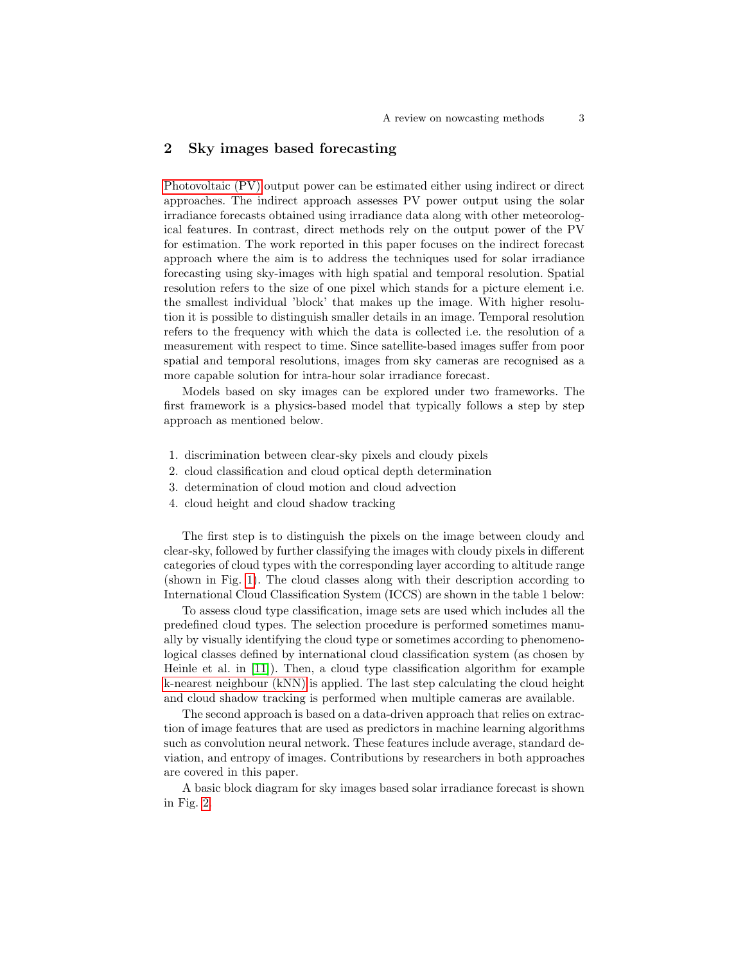## <span id="page-2-0"></span>2 Sky images based forecasting

[Photovoltaic \(PV\)](#page-0-0) output power can be estimated either using indirect or direct approaches. The indirect approach assesses PV power output using the solar irradiance forecasts obtained using irradiance data along with other meteorological features. In contrast, direct methods rely on the output power of the PV for estimation. The work reported in this paper focuses on the indirect forecast approach where the aim is to address the techniques used for solar irradiance forecasting using sky-images with high spatial and temporal resolution. Spatial resolution refers to the size of one pixel which stands for a picture element i.e. the smallest individual 'block' that makes up the image. With higher resolution it is possible to distinguish smaller details in an image. Temporal resolution refers to the frequency with which the data is collected i.e. the resolution of a measurement with respect to time. Since satellite-based images suffer from poor spatial and temporal resolutions, images from sky cameras are recognised as a more capable solution for intra-hour solar irradiance forecast.

Models based on sky images can be explored under two frameworks. The first framework is a physics-based model that typically follows a step by step approach as mentioned below.

- 1. discrimination between clear-sky pixels and cloudy pixels
- 2. cloud classification and cloud optical depth determination
- 3. determination of cloud motion and cloud advection
- 4. cloud height and cloud shadow tracking

The first step is to distinguish the pixels on the image between cloudy and clear-sky, followed by further classifying the images with cloudy pixels in different categories of cloud types with the corresponding layer according to altitude range (shown in Fig. [1\)](#page-4-0). The cloud classes along with their description according to International Cloud Classification System (ICCS) are shown in the table 1 below:

To assess cloud type classification, image sets are used which includes all the predefined cloud types. The selection procedure is performed sometimes manually by visually identifying the cloud type or sometimes according to phenomenological classes defined by international cloud classification system (as chosen by Heinle et al. in [\[11\]](#page-17-7)). Then, a cloud type classification algorithm for example [k-nearest neighbour \(kNN\)](#page-0-0) is applied. The last step calculating the cloud height and cloud shadow tracking is performed when multiple cameras are available.

The second approach is based on a data-driven approach that relies on extraction of image features that are used as predictors in machine learning algorithms such as convolution neural network. These features include average, standard deviation, and entropy of images. Contributions by researchers in both approaches are covered in this paper.

A basic block diagram for sky images based solar irradiance forecast is shown in Fig. [2.](#page-3-0)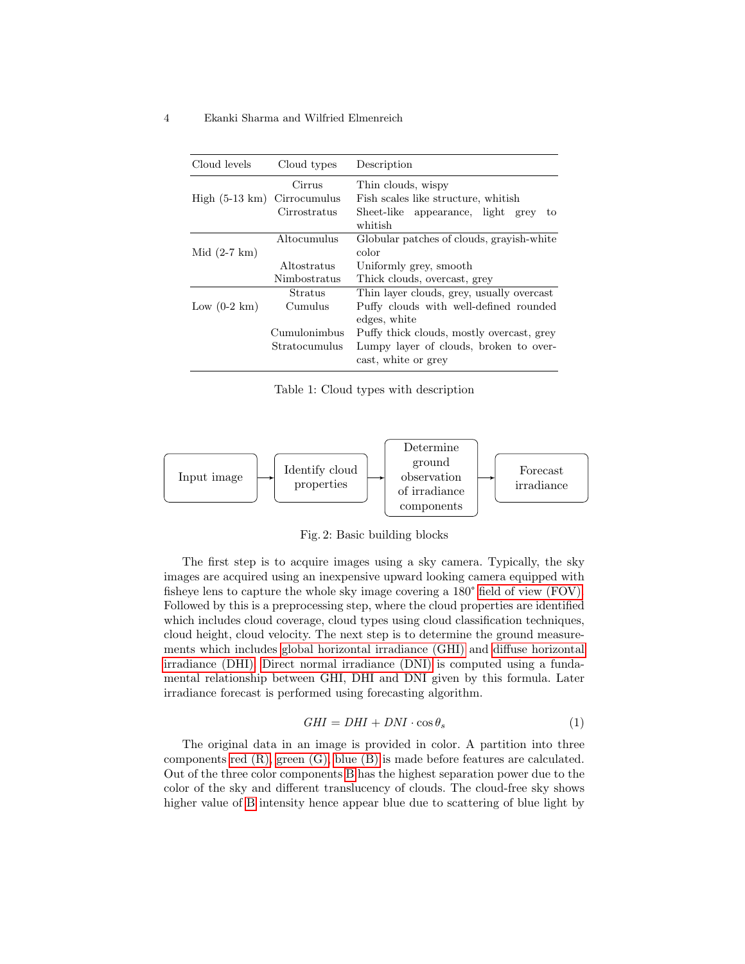| Cloud levels             | Cloud types   | Description                                |  |
|--------------------------|---------------|--------------------------------------------|--|
|                          | Cirrus        | Thin clouds, wispy                         |  |
| High $(5-13 \text{ km})$ | Cirrocumulus  | Fish scales like structure, whitish        |  |
|                          | Cirrostratus  | Sheet-like appearance, light<br>grey<br>to |  |
|                          |               | whitish                                    |  |
|                          | Altocumulus   | Globular patches of clouds, gravish-white  |  |
| Mid $(2-7 \text{ km})$   |               | color                                      |  |
|                          | Altostratus   | Uniformly grey, smooth                     |  |
|                          | Nimbostratus  | Thick clouds, overcast, grey               |  |
|                          | Stratus       | Thin layer clouds, grey, usually overcast  |  |
| Low $(0-2 \text{ km})$   | Cumulus       | Puffy clouds with well-defined rounded     |  |
|                          |               | edges, white                               |  |
|                          | Cumulonimbus  | Puffy thick clouds, mostly overcast, grey  |  |
|                          | Stratocumulus | Lumpy layer of clouds, broken to over-     |  |
|                          |               | cast, white or grey                        |  |

Table 1: Cloud types with description



<span id="page-3-0"></span>Fig. 2: Basic building blocks

The first step is to acquire images using a sky camera. Typically, the sky images are acquired using an inexpensive upward looking camera equipped with fisheye lens to capture the whole sky image covering a 180° [field of view \(FOV\).](#page-0-0) Followed by this is a preprocessing step, where the cloud properties are identified which includes cloud coverage, cloud types using cloud classification techniques, cloud height, cloud velocity. The next step is to determine the ground measurements which includes [global horizontal irradiance \(GHI\)](#page-0-0) and [diffuse horizontal](#page-0-0) [irradiance \(DHI\). Direct normal irradiance \(DNI\)](#page-0-0) is computed using a fundamental relationship between GHI, DHI and DNI given by this formula. Later irradiance forecast is performed using forecasting algorithm.

$$
GHI = DHI + DNI \cdot \cos \theta_s \tag{1}
$$

The original data in an image is provided in color. A partition into three components [red \(R\), green \(G\), blue \(B\)](#page-0-0) is made before features are calculated. Out of the three color components [B](#page-0-0) has the highest separation power due to the color of the sky and different translucency of clouds. The cloud-free sky shows higher value of [B](#page-0-0) intensity hence appear blue due to scattering of blue light by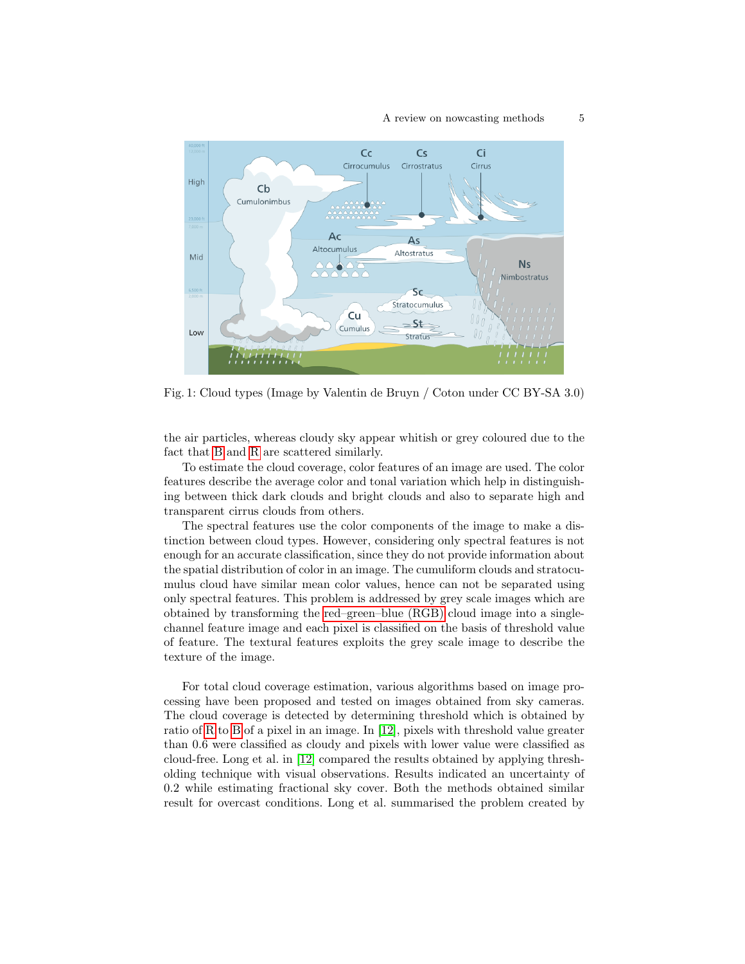<span id="page-4-0"></span>

Fig. 1: Cloud types (Image by Valentin de Bruyn / Coton under CC BY-SA 3.0)

the air particles, whereas cloudy sky appear whitish or grey coloured due to the fact that [B](#page-0-0) and [R](#page-0-0) are scattered similarly.

To estimate the cloud coverage, color features of an image are used. The color features describe the average color and tonal variation which help in distinguishing between thick dark clouds and bright clouds and also to separate high and transparent cirrus clouds from others.

The spectral features use the color components of the image to make a distinction between cloud types. However, considering only spectral features is not enough for an accurate classification, since they do not provide information about the spatial distribution of color in an image. The cumuliform clouds and stratocumulus cloud have similar mean color values, hence can not be separated using only spectral features. This problem is addressed by grey scale images which are obtained by transforming the [red–green–blue \(RGB\)](#page-0-0) cloud image into a singlechannel feature image and each pixel is classified on the basis of threshold value of feature. The textural features exploits the grey scale image to describe the texture of the image.

For total cloud coverage estimation, various algorithms based on image processing have been proposed and tested on images obtained from sky cameras. The cloud coverage is detected by determining threshold which is obtained by ratio of [R](#page-0-0) to [B](#page-0-0) of a pixel in an image. In [\[12\]](#page-17-8), pixels with threshold value greater than 0.6 were classified as cloudy and pixels with lower value were classified as cloud-free. Long et al. in [\[12\]](#page-17-8) compared the results obtained by applying thresholding technique with visual observations. Results indicated an uncertainty of 0.2 while estimating fractional sky cover. Both the methods obtained similar result for overcast conditions. Long et al. summarised the problem created by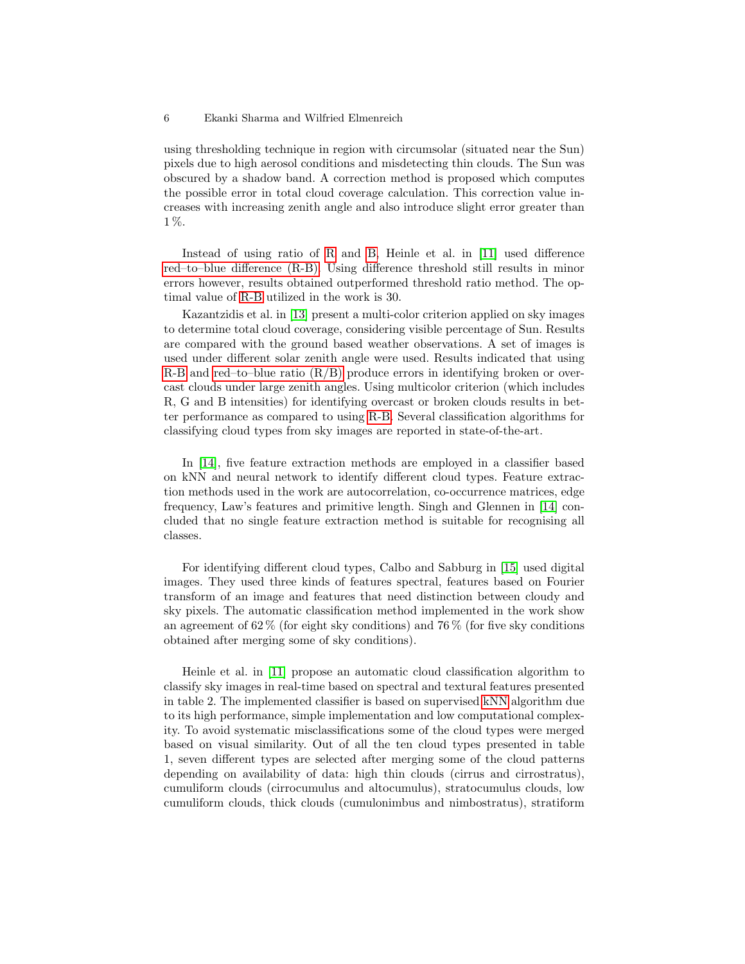using thresholding technique in region with circumsolar (situated near the Sun) pixels due to high aerosol conditions and misdetecting thin clouds. The Sun was obscured by a shadow band. A correction method is proposed which computes the possible error in total cloud coverage calculation. This correction value increases with increasing zenith angle and also introduce slight error greater than 1 %.

Instead of using ratio of [R](#page-0-0) and [B,](#page-0-0) Heinle et al. in [\[11\]](#page-17-7) used difference [red–to–blue difference \(R-B\).](#page-0-0) Using difference threshold still results in minor errors however, results obtained outperformed threshold ratio method. The optimal value of [R-B](#page-0-0) utilized in the work is 30.

Kazantzidis et al. in [\[13\]](#page-17-9) present a multi-color criterion applied on sky images to determine total cloud coverage, considering visible percentage of Sun. Results are compared with the ground based weather observations. A set of images is used under different solar zenith angle were used. Results indicated that using  $R$ -B and red–to–blue ratio  $(R/B)$  produce errors in identifying broken or overcast clouds under large zenith angles. Using multicolor criterion (which includes R, G and B intensities) for identifying overcast or broken clouds results in better performance as compared to using [R-B.](#page-0-0) Several classification algorithms for classifying cloud types from sky images are reported in state-of-the-art.

In [\[14\]](#page-17-10), five feature extraction methods are employed in a classifier based on kNN and neural network to identify different cloud types. Feature extraction methods used in the work are autocorrelation, co-occurrence matrices, edge frequency, Law's features and primitive length. Singh and Glennen in [\[14\]](#page-17-10) concluded that no single feature extraction method is suitable for recognising all classes.

For identifying different cloud types, Calbo and Sabburg in [\[15\]](#page-17-11) used digital images. They used three kinds of features spectral, features based on Fourier transform of an image and features that need distinction between cloudy and sky pixels. The automatic classification method implemented in the work show an agreement of  $62\%$  (for eight sky conditions) and  $76\%$  (for five sky conditions) obtained after merging some of sky conditions).

Heinle et al. in [\[11\]](#page-17-7) propose an automatic cloud classification algorithm to classify sky images in real-time based on spectral and textural features presented in table 2. The implemented classifier is based on supervised [kNN](#page-0-0) algorithm due to its high performance, simple implementation and low computational complexity. To avoid systematic misclassifications some of the cloud types were merged based on visual similarity. Out of all the ten cloud types presented in table 1, seven different types are selected after merging some of the cloud patterns depending on availability of data: high thin clouds (cirrus and cirrostratus), cumuliform clouds (cirrocumulus and altocumulus), stratocumulus clouds, low cumuliform clouds, thick clouds (cumulonimbus and nimbostratus), stratiform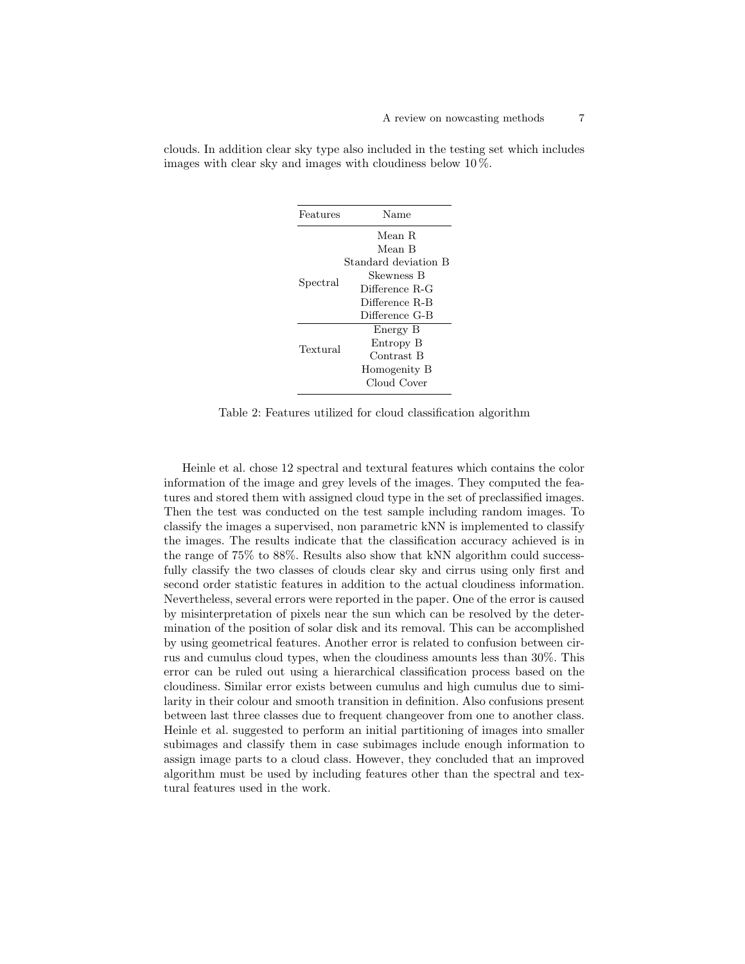| Features | Name                 |  |
|----------|----------------------|--|
|          | Mean R               |  |
|          | Mean B               |  |
|          | Standard deviation B |  |
|          | Skewness B           |  |
| Spectral | Difference R-G       |  |
|          | Difference R-B       |  |
|          | Difference G-B       |  |
|          | Energy B             |  |
| Textural | Entropy B            |  |
|          | Contrast B           |  |
|          | Homogenity B         |  |
|          | Cloud Cover          |  |

clouds. In addition clear sky type also included in the testing set which includes images with clear sky and images with cloudiness below 10 %.

Table 2: Features utilized for cloud classification algorithm

Heinle et al. chose 12 spectral and textural features which contains the color information of the image and grey levels of the images. They computed the features and stored them with assigned cloud type in the set of preclassified images. Then the test was conducted on the test sample including random images. To classify the images a supervised, non parametric kNN is implemented to classify the images. The results indicate that the classification accuracy achieved is in the range of 75% to 88%. Results also show that kNN algorithm could successfully classify the two classes of clouds clear sky and cirrus using only first and second order statistic features in addition to the actual cloudiness information. Nevertheless, several errors were reported in the paper. One of the error is caused by misinterpretation of pixels near the sun which can be resolved by the determination of the position of solar disk and its removal. This can be accomplished by using geometrical features. Another error is related to confusion between cirrus and cumulus cloud types, when the cloudiness amounts less than 30%. This error can be ruled out using a hierarchical classification process based on the cloudiness. Similar error exists between cumulus and high cumulus due to similarity in their colour and smooth transition in definition. Also confusions present between last three classes due to frequent changeover from one to another class. Heinle et al. suggested to perform an initial partitioning of images into smaller subimages and classify them in case subimages include enough information to assign image parts to a cloud class. However, they concluded that an improved algorithm must be used by including features other than the spectral and textural features used in the work.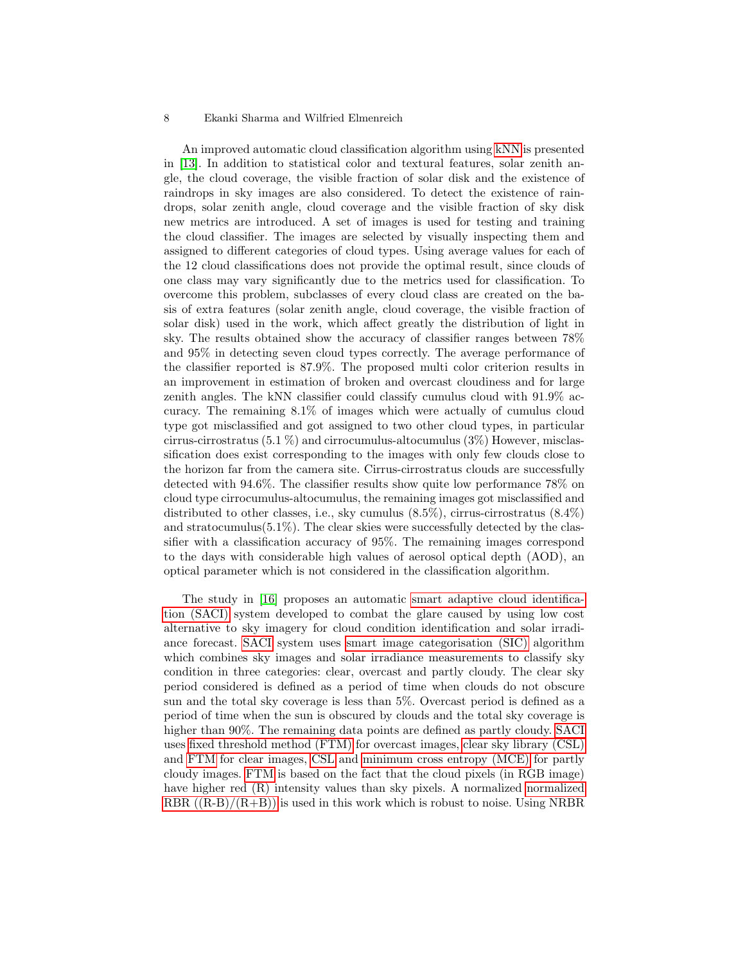An improved automatic cloud classification algorithm using [kNN](#page-0-0) is presented in [\[13\]](#page-17-9). In addition to statistical color and textural features, solar zenith angle, the cloud coverage, the visible fraction of solar disk and the existence of raindrops in sky images are also considered. To detect the existence of raindrops, solar zenith angle, cloud coverage and the visible fraction of sky disk new metrics are introduced. A set of images is used for testing and training the cloud classifier. The images are selected by visually inspecting them and assigned to different categories of cloud types. Using average values for each of the 12 cloud classifications does not provide the optimal result, since clouds of one class may vary significantly due to the metrics used for classification. To overcome this problem, subclasses of every cloud class are created on the basis of extra features (solar zenith angle, cloud coverage, the visible fraction of solar disk) used in the work, which affect greatly the distribution of light in sky. The results obtained show the accuracy of classifier ranges between 78% and 95% in detecting seven cloud types correctly. The average performance of the classifier reported is 87.9%. The proposed multi color criterion results in an improvement in estimation of broken and overcast cloudiness and for large zenith angles. The kNN classifier could classify cumulus cloud with 91.9% accuracy. The remaining 8.1% of images which were actually of cumulus cloud type got misclassified and got assigned to two other cloud types, in particular cirrus-cirrostratus (5.1 %) and cirrocumulus-altocumulus (3%) However, misclassification does exist corresponding to the images with only few clouds close to the horizon far from the camera site. Cirrus-cirrostratus clouds are successfully detected with 94.6%. The classifier results show quite low performance 78% on cloud type cirrocumulus-altocumulus, the remaining images got misclassified and distributed to other classes, i.e., sky cumulus (8.5%), cirrus-cirrostratus (8.4%) and stratocumulus $(5.1\%)$ . The clear skies were successfully detected by the classifier with a classification accuracy of 95%. The remaining images correspond to the days with considerable high values of aerosol optical depth (AOD), an optical parameter which is not considered in the classification algorithm.

The study in [\[16\]](#page-17-12) proposes an automatic [smart adaptive cloud identifica](#page-0-0)[tion \(SACI\)](#page-0-0) system developed to combat the glare caused by using low cost alternative to sky imagery for cloud condition identification and solar irradiance forecast. [SACI](#page-0-0) system uses [smart image categorisation \(SIC\)](#page-0-0) algorithm which combines sky images and solar irradiance measurements to classify sky condition in three categories: clear, overcast and partly cloudy. The clear sky period considered is defined as a period of time when clouds do not obscure sun and the total sky coverage is less than 5%. Overcast period is defined as a period of time when the sun is obscured by clouds and the total sky coverage is higher than 90%. The remaining data points are defined as partly cloudy. [SACI](#page-0-0) uses [fixed threshold method \(FTM\)](#page-0-0) for overcast images, [clear sky library \(CSL\)](#page-0-0) and [FTM](#page-0-0) for clear images, [CSL](#page-0-0) and [minimum cross entropy \(MCE\)](#page-0-0) for partly cloudy images. [FTM](#page-0-0) is based on the fact that the cloud pixels (in RGB image) have higher red (R) intensity values than sky pixels. A normalized [normalized](#page-0-0) RBR  $((R-B)/(R+B))$  is used in this work which is robust to noise. Using NRBR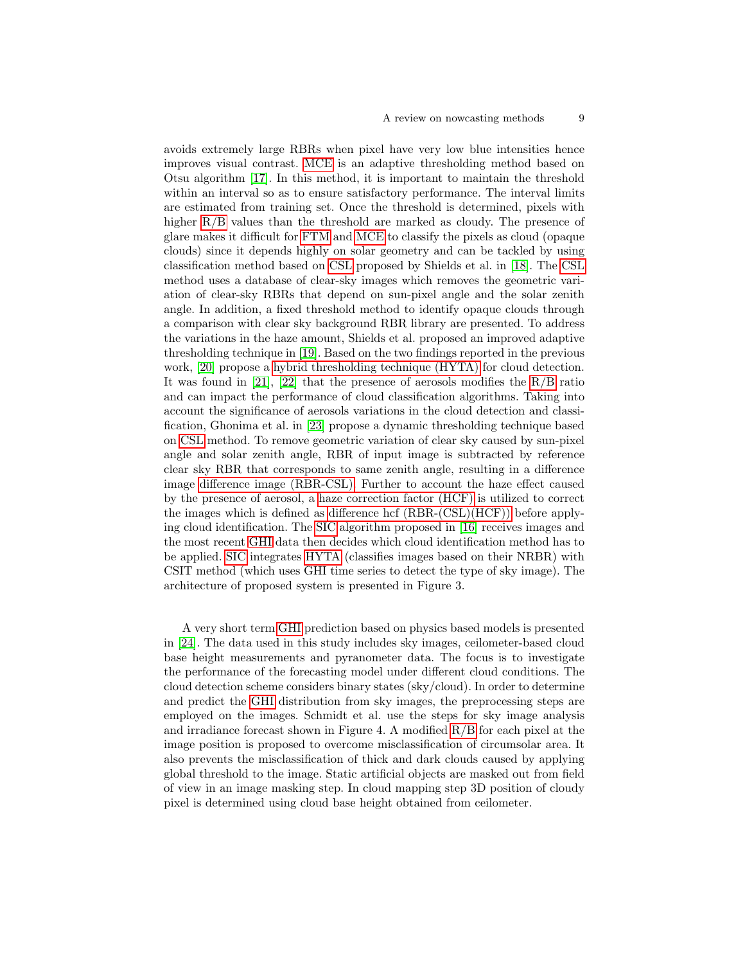avoids extremely large RBRs when pixel have very low blue intensities hence improves visual contrast. [MCE](#page-0-0) is an adaptive thresholding method based on Otsu algorithm [\[17\]](#page-17-13). In this method, it is important to maintain the threshold within an interval so as to ensure satisfactory performance. The interval limits are estimated from training set. Once the threshold is determined, pixels with higher [R/B](#page-0-0) values than the threshold are marked as cloudy. The presence of glare makes it difficult for [FTM](#page-0-0) and [MCE](#page-0-0) to classify the pixels as cloud (opaque clouds) since it depends highly on solar geometry and can be tackled by using classification method based on [CSL](#page-0-0) proposed by Shields et al. in [\[18\]](#page-17-14). The [CSL](#page-0-0) method uses a database of clear-sky images which removes the geometric variation of clear-sky RBRs that depend on sun-pixel angle and the solar zenith angle. In addition, a fixed threshold method to identify opaque clouds through a comparison with clear sky background RBR library are presented. To address the variations in the haze amount, Shields et al. proposed an improved adaptive thresholding technique in [\[19\]](#page-17-15). Based on the two findings reported in the previous work, [\[20\]](#page-17-16) propose a [hybrid thresholding technique \(HYTA\)](#page-0-0) for cloud detection. It was found in [\[21\]](#page-18-0), [\[22\]](#page-18-1) that the presence of aerosols modifies the  $R/B$  ratio and can impact the performance of cloud classification algorithms. Taking into account the significance of aerosols variations in the cloud detection and classification, Ghonima et al. in [\[23\]](#page-18-2) propose a dynamic thresholding technique based on [CSL](#page-0-0) method. To remove geometric variation of clear sky caused by sun-pixel angle and solar zenith angle, RBR of input image is subtracted by reference clear sky RBR that corresponds to same zenith angle, resulting in a difference image [difference image \(RBR-CSL\).](#page-0-0) Further to account the haze effect caused by the presence of aerosol, a [haze correction factor \(HCF\)](#page-0-0) is utilized to correct the images which is defined as [difference hcf \(RBR-\(CSL\)\(HCF\)\)](#page-0-0) before applying cloud identification. The [SIC](#page-0-0) algorithm proposed in [\[16\]](#page-17-12) receives images and the most recent [GHI](#page-0-0) data then decides which cloud identification method has to be applied. [SIC](#page-0-0) integrates [HYTA](#page-0-0) (classifies images based on their NRBR) with CSIT method (which uses GHI time series to detect the type of sky image). The architecture of proposed system is presented in Figure 3.

A very short term [GHI](#page-0-0) prediction based on physics based models is presented in [\[24\]](#page-18-3). The data used in this study includes sky images, ceilometer-based cloud base height measurements and pyranometer data. The focus is to investigate the performance of the forecasting model under different cloud conditions. The cloud detection scheme considers binary states (sky/cloud). In order to determine and predict the [GHI](#page-0-0) distribution from sky images, the preprocessing steps are employed on the images. Schmidt et al. use the steps for sky image analysis and irradiance forecast shown in Figure 4. A modified  $R/B$  for each pixel at the image position is proposed to overcome misclassification of circumsolar area. It also prevents the misclassification of thick and dark clouds caused by applying global threshold to the image. Static artificial objects are masked out from field of view in an image masking step. In cloud mapping step 3D position of cloudy pixel is determined using cloud base height obtained from ceilometer.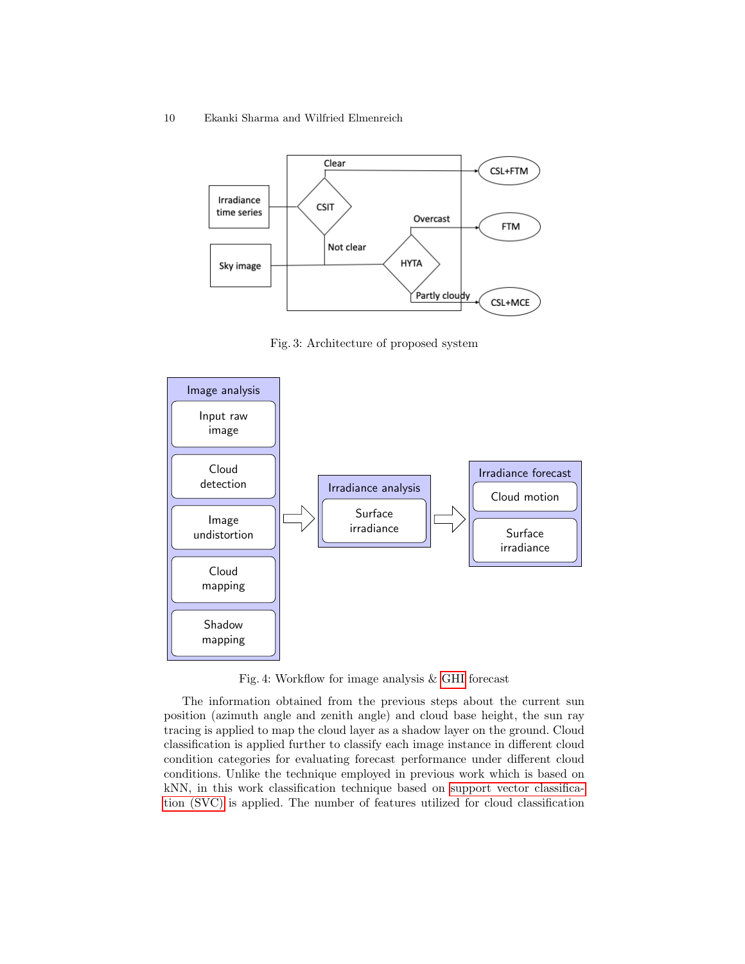10 Ekanki Sharma and Wilfried Elmenreich



Fig. 3: Architecture of proposed system



Fig. 4: Workflow for image analysis & [GHI](#page-0-0) forecast

The information obtained from the previous steps about the current sun position (azimuth angle and zenith angle) and cloud base height, the sun ray tracing is applied to map the cloud layer as a shadow layer on the ground. Cloud classification is applied further to classify each image instance in different cloud condition categories for evaluating forecast performance under different cloud conditions. Unlike the technique employed in previous work which is based on kNN, in this work classification technique based on [support vector classifica](#page-0-0)[tion \(SVC\)](#page-0-0) is applied. The number of features utilized for cloud classification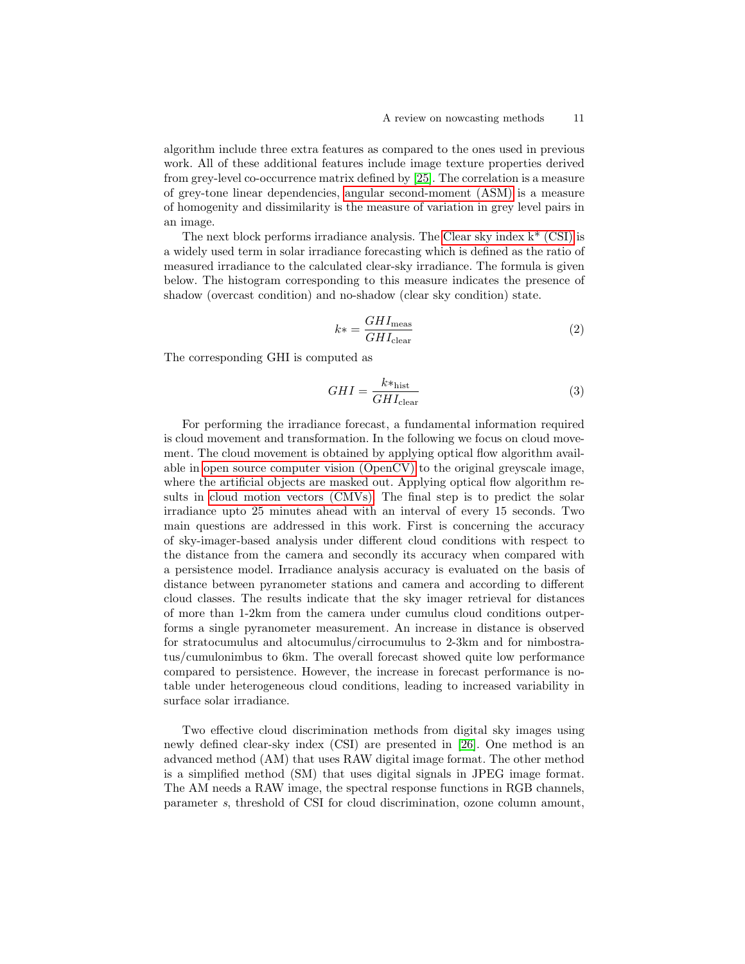algorithm include three extra features as compared to the ones used in previous work. All of these additional features include image texture properties derived from grey-level co-occurrence matrix defined by [\[25\]](#page-18-4). The correlation is a measure of grey-tone linear dependencies, [angular second-moment \(ASM\)](#page-0-0) is a measure of homogenity and dissimilarity is the measure of variation in grey level pairs in an image.

The next block performs irradiance analysis. The [Clear sky index k\\* \(CSI\)](#page-0-0) is a widely used term in solar irradiance forecasting which is defined as the ratio of measured irradiance to the calculated clear-sky irradiance. The formula is given below. The histogram corresponding to this measure indicates the presence of shadow (overcast condition) and no-shadow (clear sky condition) state.

$$
k* = \frac{GHI_{\text{meas}}}{GHI_{\text{clear}}}
$$
\n
$$
\tag{2}
$$

The corresponding GHI is computed as

$$
GHI = \frac{k*_{\text{hist}}}{GHI_{\text{clear}}}
$$
\n(3)

For performing the irradiance forecast, a fundamental information required is cloud movement and transformation. In the following we focus on cloud movement. The cloud movement is obtained by applying optical flow algorithm available in [open source computer vision \(OpenCV\)](#page-0-0) to the original greyscale image, where the artificial objects are masked out. Applying optical flow algorithm results in [cloud motion vectors \(CMVs\).](#page-0-0) The final step is to predict the solar irradiance upto 25 minutes ahead with an interval of every 15 seconds. Two main questions are addressed in this work. First is concerning the accuracy of sky-imager-based analysis under different cloud conditions with respect to the distance from the camera and secondly its accuracy when compared with a persistence model. Irradiance analysis accuracy is evaluated on the basis of distance between pyranometer stations and camera and according to different cloud classes. The results indicate that the sky imager retrieval for distances of more than 1-2km from the camera under cumulus cloud conditions outperforms a single pyranometer measurement. An increase in distance is observed for stratocumulus and altocumulus/cirrocumulus to 2-3km and for nimbostratus/cumulonimbus to 6km. The overall forecast showed quite low performance compared to persistence. However, the increase in forecast performance is notable under heterogeneous cloud conditions, leading to increased variability in surface solar irradiance.

Two effective cloud discrimination methods from digital sky images using newly defined clear-sky index (CSI) are presented in [\[26\]](#page-18-5). One method is an advanced method (AM) that uses RAW digital image format. The other method is a simplified method (SM) that uses digital signals in JPEG image format. The AM needs a RAW image, the spectral response functions in RGB channels, parameter s, threshold of CSI for cloud discrimination, ozone column amount,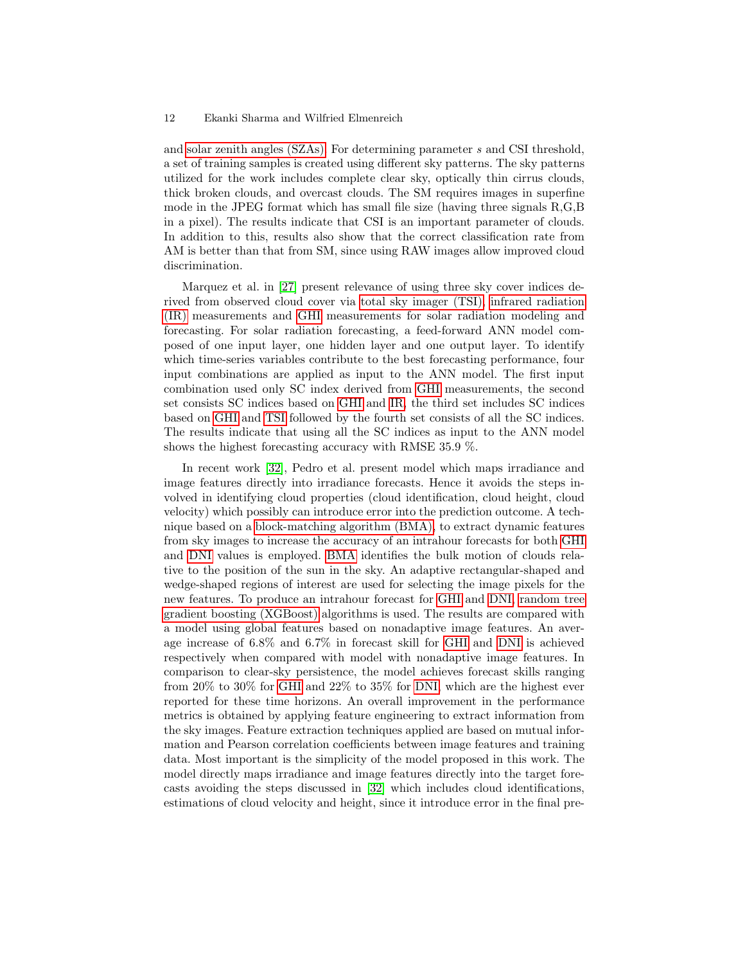and [solar zenith angles \(SZAs\).](#page-0-0) For determining parameter s and CSI threshold, a set of training samples is created using different sky patterns. The sky patterns utilized for the work includes complete clear sky, optically thin cirrus clouds, thick broken clouds, and overcast clouds. The SM requires images in superfine mode in the JPEG format which has small file size (having three signals R,G,B in a pixel). The results indicate that CSI is an important parameter of clouds. In addition to this, results also show that the correct classification rate from AM is better than that from SM, since using RAW images allow improved cloud discrimination.

Marquez et al. in [\[27\]](#page-18-6) present relevance of using three sky cover indices derived from observed cloud cover via [total sky imager \(TSI\), infrared radiation](#page-0-0) [\(IR\)](#page-0-0) measurements and [GHI](#page-0-0) measurements for solar radiation modeling and forecasting. For solar radiation forecasting, a feed-forward ANN model composed of one input layer, one hidden layer and one output layer. To identify which time-series variables contribute to the best forecasting performance, four input combinations are applied as input to the ANN model. The first input combination used only SC index derived from [GHI](#page-0-0) measurements, the second set consists SC indices based on [GHI](#page-0-0) and [IR,](#page-0-0) the third set includes SC indices based on [GHI](#page-0-0) and [TSI](#page-0-0) followed by the fourth set consists of all the SC indices. The results indicate that using all the SC indices as input to the ANN model shows the highest forecasting accuracy with RMSE 35.9 %.

In recent work [\[32\]](#page-18-7), Pedro et al. present model which maps irradiance and image features directly into irradiance forecasts. Hence it avoids the steps involved in identifying cloud properties (cloud identification, cloud height, cloud velocity) which possibly can introduce error into the prediction outcome. A technique based on a [block-matching algorithm \(BMA\),](#page-0-0) to extract dynamic features from sky images to increase the accuracy of an intrahour forecasts for both [GHI](#page-0-0) and [DNI](#page-0-0) values is employed. [BMA](#page-0-0) identifies the bulk motion of clouds relative to the position of the sun in the sky. An adaptive rectangular-shaped and wedge-shaped regions of interest are used for selecting the image pixels for the new features. To produce an intrahour forecast for [GHI](#page-0-0) and [DNI, random tree](#page-0-0) [gradient boosting \(XGBoost\)](#page-0-0) algorithms is used. The results are compared with a model using global features based on nonadaptive image features. An average increase of 6.8% and 6.7% in forecast skill for [GHI](#page-0-0) and [DNI](#page-0-0) is achieved respectively when compared with model with nonadaptive image features. In comparison to clear-sky persistence, the model achieves forecast skills ranging from 20% to 30% for [GHI](#page-0-0) and 22% to 35% for [DNI,](#page-0-0) which are the highest ever reported for these time horizons. An overall improvement in the performance metrics is obtained by applying feature engineering to extract information from the sky images. Feature extraction techniques applied are based on mutual information and Pearson correlation coefficients between image features and training data. Most important is the simplicity of the model proposed in this work. The model directly maps irradiance and image features directly into the target forecasts avoiding the steps discussed in [\[32\]](#page-18-7) which includes cloud identifications, estimations of cloud velocity and height, since it introduce error in the final pre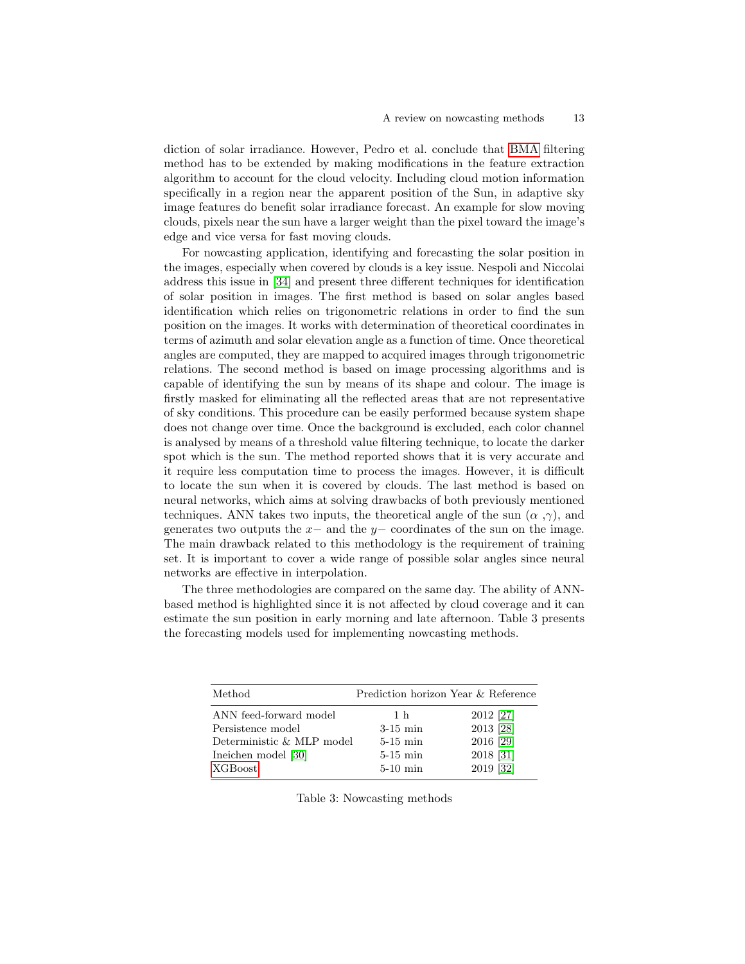diction of solar irradiance. However, Pedro et al. conclude that [BMA](#page-0-0) filtering method has to be extended by making modifications in the feature extraction algorithm to account for the cloud velocity. Including cloud motion information specifically in a region near the apparent position of the Sun, in adaptive sky image features do benefit solar irradiance forecast. An example for slow moving clouds, pixels near the sun have a larger weight than the pixel toward the image's edge and vice versa for fast moving clouds.

For nowcasting application, identifying and forecasting the solar position in the images, especially when covered by clouds is a key issue. Nespoli and Niccolai address this issue in [\[34\]](#page-18-8) and present three different techniques for identification of solar position in images. The first method is based on solar angles based identification which relies on trigonometric relations in order to find the sun position on the images. It works with determination of theoretical coordinates in terms of azimuth and solar elevation angle as a function of time. Once theoretical angles are computed, they are mapped to acquired images through trigonometric relations. The second method is based on image processing algorithms and is capable of identifying the sun by means of its shape and colour. The image is firstly masked for eliminating all the reflected areas that are not representative of sky conditions. This procedure can be easily performed because system shape does not change over time. Once the background is excluded, each color channel is analysed by means of a threshold value filtering technique, to locate the darker spot which is the sun. The method reported shows that it is very accurate and it require less computation time to process the images. However, it is difficult to locate the sun when it is covered by clouds. The last method is based on neural networks, which aims at solving drawbacks of both previously mentioned techniques. ANN takes two inputs, the theoretical angle of the sun  $(\alpha, \gamma)$ , and generates two outputs the  $x-$  and the  $y-$  coordinates of the sun on the image. The main drawback related to this methodology is the requirement of training set. It is important to cover a wide range of possible solar angles since neural networks are effective in interpolation.

The three methodologies are compared on the same day. The ability of ANNbased method is highlighted since it is not affected by cloud coverage and it can estimate the sun position in early morning and late afternoon. Table 3 presents the forecasting models used for implementing nowcasting methods.

| Method                    | Prediction horizon Year & Reference |           |
|---------------------------|-------------------------------------|-----------|
| ANN feed-forward model    | 1 h                                 | 2012 [27] |
| Persistence model         | $3-15$ min                          | 2013 [28] |
| Deterministic & MLP model | $5-15$ min                          | 2016 [29] |
| Ineichen model [30]       | $5-15$ min                          | 2018 [31] |
| <b>XGBoost</b>            | $5-10$ min                          | 2019 [32] |

Table 3: Nowcasting methods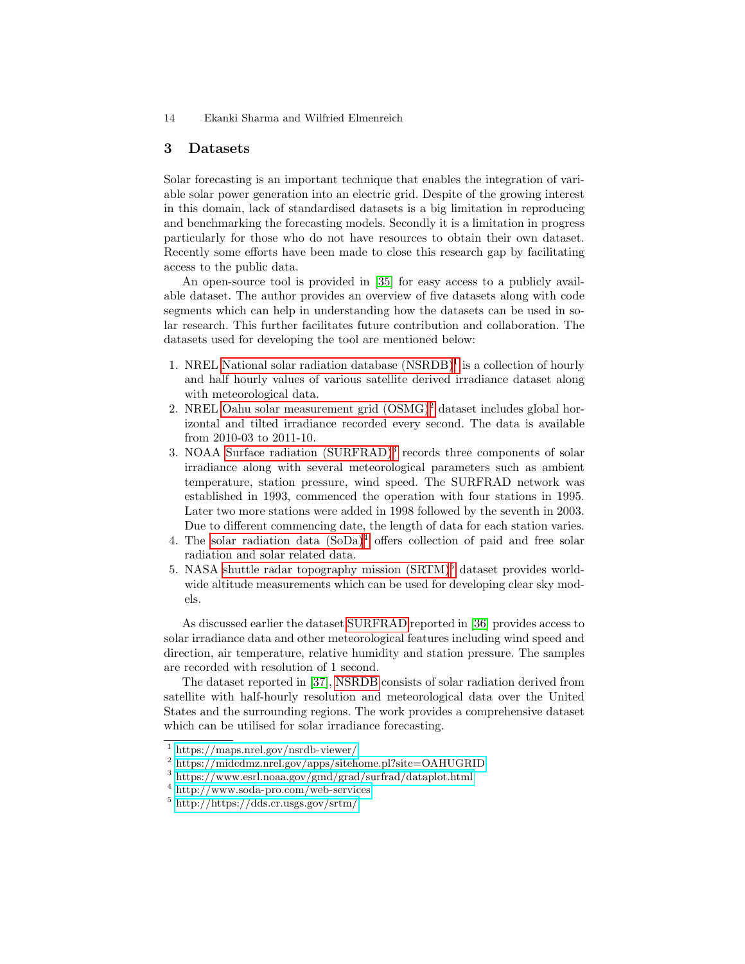### <span id="page-13-0"></span>3 Datasets

Solar forecasting is an important technique that enables the integration of variable solar power generation into an electric grid. Despite of the growing interest in this domain, lack of standardised datasets is a big limitation in reproducing and benchmarking the forecasting models. Secondly it is a limitation in progress particularly for those who do not have resources to obtain their own dataset. Recently some efforts have been made to close this research gap by facilitating access to the public data.

An open-source tool is provided in [\[35\]](#page-18-13) for easy access to a publicly available dataset. The author provides an overview of five datasets along with code segments which can help in understanding how the datasets can be used in solar research. This further facilitates future contribution and collaboration. The datasets used for developing the tool are mentioned below:

- [1](#page-13-1). NREL National solar radiation database  $(NSRDB)^1$  is a collection of hourly and half hourly values of various satellite derived irradiance dataset along with meteorological data.
- [2](#page-13-2). NREL Oahu solar measurement grid  $\text{(OSMG)}^2$  dataset includes global horizontal and tilted irradiance recorded every second. The data is available from 2010-03 to 2011-10.
- 3. NOAA [Surface radiation \(SURFRAD\)](#page-0-0)<sup>[3](#page-13-3)</sup> records three components of solar irradiance along with several meteorological parameters such as ambient temperature, station pressure, wind speed. The SURFRAD network was established in 1993, commenced the operation with four stations in 1995. Later two more stations were added in 1998 followed by the seventh in 2003. Due to different commencing date, the length of data for each station varies.
- [4](#page-13-4). The solar radiation data  $(SoDa)^4$  offers collection of paid and free solar radiation and solar related data.
- [5](#page-13-5). NASA shuttle radar topography mission  $(SRTM)^5$  dataset provides worldwide altitude measurements which can be used for developing clear sky models.

As discussed earlier the dataset [SURFRAD](#page-0-0) reported in [\[36\]](#page-18-14) provides access to solar irradiance data and other meteorological features including wind speed and direction, air temperature, relative humidity and station pressure. The samples are recorded with resolution of 1 second.

The dataset reported in [\[37\]](#page-18-15), [NSRDB](#page-0-0) consists of solar radiation derived from satellite with half-hourly resolution and meteorological data over the United States and the surrounding regions. The work provides a comprehensive dataset which can be utilised for solar irradiance forecasting.

<span id="page-13-1"></span><sup>1</sup> <https://maps.nrel.gov/nsrdb-viewer/>

<span id="page-13-2"></span><sup>2</sup> <https://midcdmz.nrel.gov/apps/sitehome.pl?site=OAHUGRID>

<span id="page-13-3"></span><sup>3</sup> <https://www.esrl.noaa.gov/gmd/grad/surfrad/dataplot.html>

<span id="page-13-4"></span><sup>4</sup> <http://www.soda-pro.com/web-services>

<span id="page-13-5"></span><sup>5</sup> <http://https://dds.cr.usgs.gov/srtm/>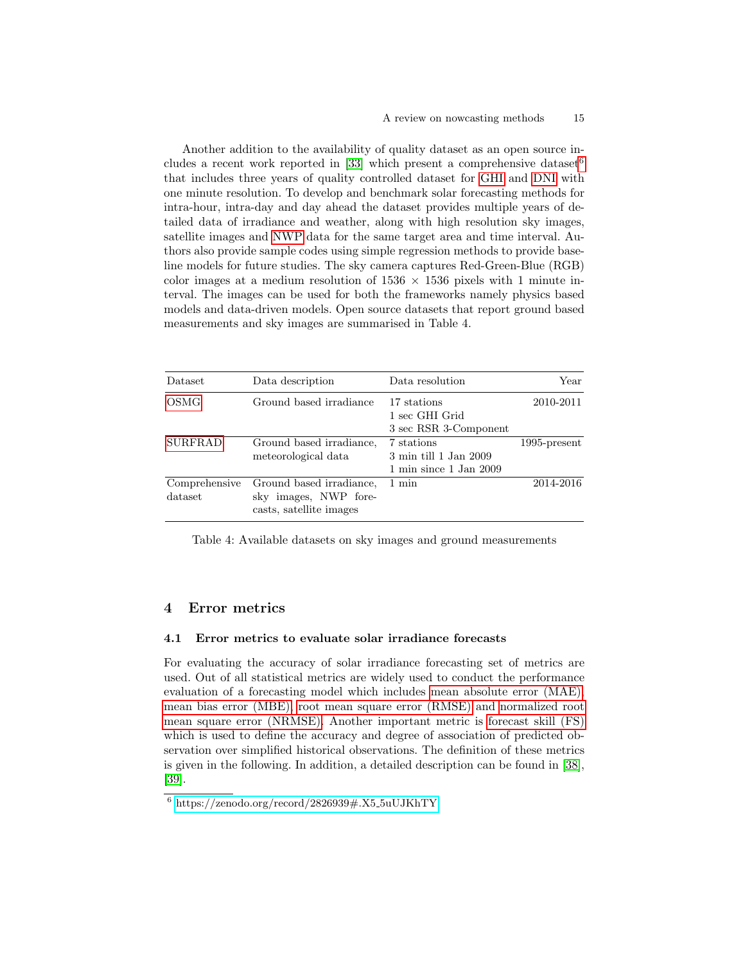Another addition to the availability of quality dataset as an open source in-cludes a recent work reported in [\[33\]](#page-18-16) which present a comprehensive dataset<sup>[6](#page-14-1)</sup> that includes three years of quality controlled dataset for [GHI](#page-0-0) and [DNI](#page-0-0) with one minute resolution. To develop and benchmark solar forecasting methods for intra-hour, intra-day and day ahead the dataset provides multiple years of detailed data of irradiance and weather, along with high resolution sky images, satellite images and [NWP](#page-0-0) data for the same target area and time interval. Authors also provide sample codes using simple regression methods to provide baseline models for future studies. The sky camera captures Red-Green-Blue (RGB) color images at a medium resolution of  $1536 \times 1536$  pixels with 1 minute interval. The images can be used for both the frameworks namely physics based models and data-driven models. Open source datasets that report ground based measurements and sky images are summarised in Table 4.

| Dataset                  | Data description                                                             | Data resolution                                                                   | Year            |
|--------------------------|------------------------------------------------------------------------------|-----------------------------------------------------------------------------------|-----------------|
| OSMG                     | Ground based irradiance                                                      | 17 stations<br>1 sec GHI Grid<br>3 sec RSR 3-Component                            | 2010-2011       |
| <b>SURFRAD</b>           | Ground based irradiance,<br>meteorological data                              | 7 stations<br>3 min till 1 Jan 2009<br>$1 \text{ min since } 1 \text{ Jan } 2009$ | $1995$ -present |
| Comprehensive<br>dataset | Ground based irradiance,<br>sky images, NWP fore-<br>casts, satellite images | 1 min                                                                             | 2014-2016       |

Table 4: Available datasets on sky images and ground measurements

### <span id="page-14-0"></span>4 Error metrics

### 4.1 Error metrics to evaluate solar irradiance forecasts

For evaluating the accuracy of solar irradiance forecasting set of metrics are used. Out of all statistical metrics are widely used to conduct the performance evaluation of a forecasting model which includes [mean absolute error \(MAE\),](#page-0-0) [mean bias error \(MBE\), root mean square error \(RMSE\)](#page-0-0) and [normalized root](#page-0-0) [mean square error \(NRMSE\).](#page-0-0) Another important metric is [forecast skill \(FS\)](#page-0-0) which is used to define the accuracy and degree of association of predicted observation over simplified historical observations. The definition of these metrics is given in the following. In addition, a detailed description can be found in [\[38\]](#page-18-17), [\[39\]](#page-18-18).

<span id="page-14-1"></span> $6 \text{ https://zenodo.org/record/2826939#}.X5_5uUJKhTY$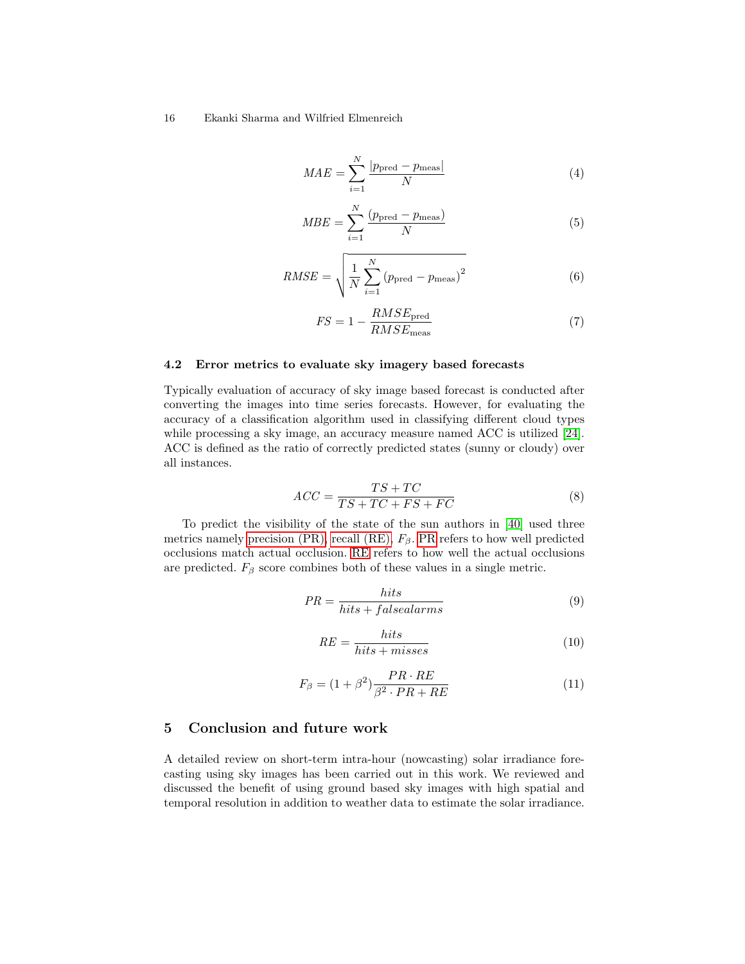$$
MAE = \sum_{i=1}^{N} \frac{|p_{\text{pred}} - p_{\text{meas}}|}{N}
$$
 (4)

$$
MBE = \sum_{i=1}^{N} \frac{(p_{\text{pred}} - p_{\text{meas}})}{N}
$$
 (5)

$$
RMSE = \sqrt{\frac{1}{N} \sum_{i=1}^{N} (p_{\text{pred}} - p_{\text{meas}})^2}
$$
(6)

$$
FS = 1 - \frac{RMSE_{\text{pred}}}{RMSE_{\text{meas}}} \tag{7}
$$

#### 4.2 Error metrics to evaluate sky imagery based forecasts

Typically evaluation of accuracy of sky image based forecast is conducted after converting the images into time series forecasts. However, for evaluating the accuracy of a classification algorithm used in classifying different cloud types while processing a sky image, an accuracy measure named ACC is utilized [\[24\]](#page-18-3). ACC is defined as the ratio of correctly predicted states (sunny or cloudy) over all instances.

$$
ACC = \frac{TS + TC}{TS + TC + FS + FC}
$$
\n
$$
(8)
$$

To predict the visibility of the state of the sun authors in [\[40\]](#page-19-0) used three metrics namely [precision \(PR\), recall \(RE\),](#page-0-0)  $F_\beta$ . [PR](#page-0-0) refers to how well predicted occlusions match actual occlusion. [RE](#page-0-0) refers to how well the actual occlusions are predicted.  $F_\beta$  score combines both of these values in a single metric.

$$
PR = \frac{hits}{hits + falsealarms} \tag{9}
$$

$$
RE = \frac{hits}{hits + misses} \tag{10}
$$

$$
F_{\beta} = (1 + \beta^2) \frac{PR \cdot RE}{\beta^2 \cdot PR + RE} \tag{11}
$$

### <span id="page-15-0"></span>5 Conclusion and future work

A detailed review on short-term intra-hour (nowcasting) solar irradiance forecasting using sky images has been carried out in this work. We reviewed and discussed the benefit of using ground based sky images with high spatial and temporal resolution in addition to weather data to estimate the solar irradiance.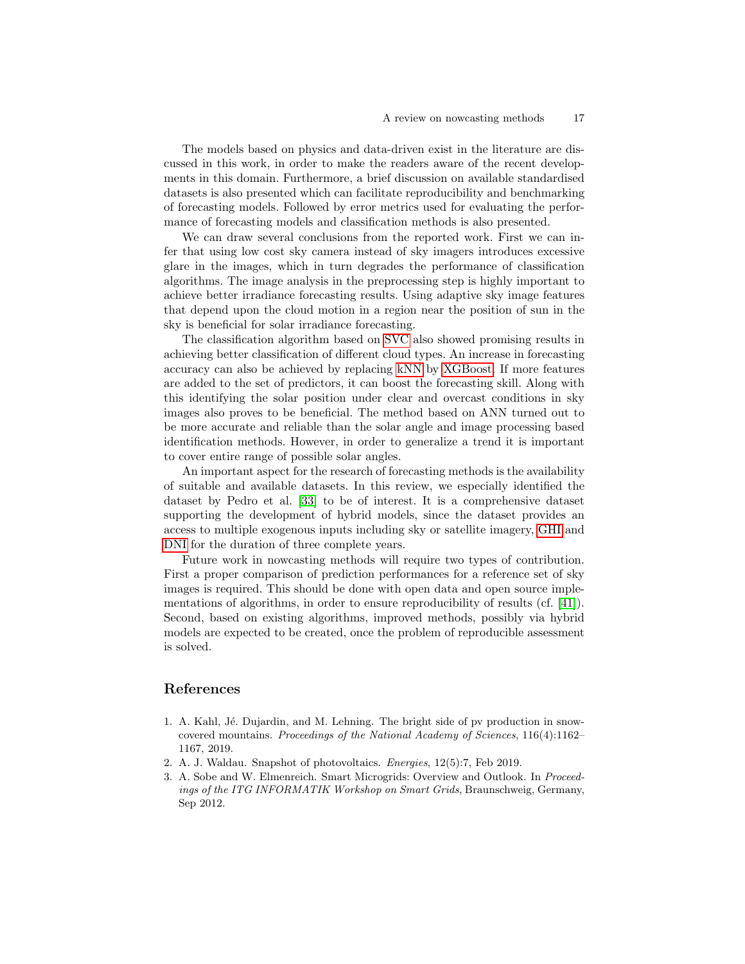The models based on physics and data-driven exist in the literature are discussed in this work, in order to make the readers aware of the recent developments in this domain. Furthermore, a brief discussion on available standardised datasets is also presented which can facilitate reproducibility and benchmarking of forecasting models. Followed by error metrics used for evaluating the performance of forecasting models and classification methods is also presented.

We can draw several conclusions from the reported work. First we can infer that using low cost sky camera instead of sky imagers introduces excessive glare in the images, which in turn degrades the performance of classification algorithms. The image analysis in the preprocessing step is highly important to achieve better irradiance forecasting results. Using adaptive sky image features that depend upon the cloud motion in a region near the position of sun in the sky is beneficial for solar irradiance forecasting.

The classification algorithm based on [SVC](#page-0-0) also showed promising results in achieving better classification of different cloud types. An increase in forecasting accuracy can also be achieved by replacing [kNN](#page-0-0) by [XGBoost.](#page-0-0) If more features are added to the set of predictors, it can boost the forecasting skill. Along with this identifying the solar position under clear and overcast conditions in sky images also proves to be beneficial. The method based on ANN turned out to be more accurate and reliable than the solar angle and image processing based identification methods. However, in order to generalize a trend it is important to cover entire range of possible solar angles.

An important aspect for the research of forecasting methods is the availability of suitable and available datasets. In this review, we especially identified the dataset by Pedro et al. [\[33\]](#page-18-16) to be of interest. It is a comprehensive dataset supporting the development of hybrid models, since the dataset provides an access to multiple exogenous inputs including sky or satellite imagery, [GHI](#page-0-0) and [DNI](#page-0-0) for the duration of three complete years.

Future work in nowcasting methods will require two types of contribution. First a proper comparison of prediction performances for a reference set of sky images is required. This should be done with open data and open source implementations of algorithms, in order to ensure reproducibility of results (cf. [\[41\]](#page-19-1)). Second, based on existing algorithms, improved methods, possibly via hybrid models are expected to be created, once the problem of reproducible assessment is solved.

# References

- <span id="page-16-0"></span>1. A. Kahl, Jé. Dujardin, and M. Lehning. The bright side of pv production in snowcovered mountains. Proceedings of the National Academy of Sciences, 116(4):1162– 1167, 2019.
- <span id="page-16-1"></span>2. A. J. Waldau. Snapshot of photovoltaics. Energies, 12(5):7, Feb 2019.
- <span id="page-16-2"></span>3. A. Sobe and W. Elmenreich. Smart Microgrids: Overview and Outlook. In Proceedings of the ITG INFORMATIK Workshop on Smart Grids, Braunschweig, Germany, Sep 2012.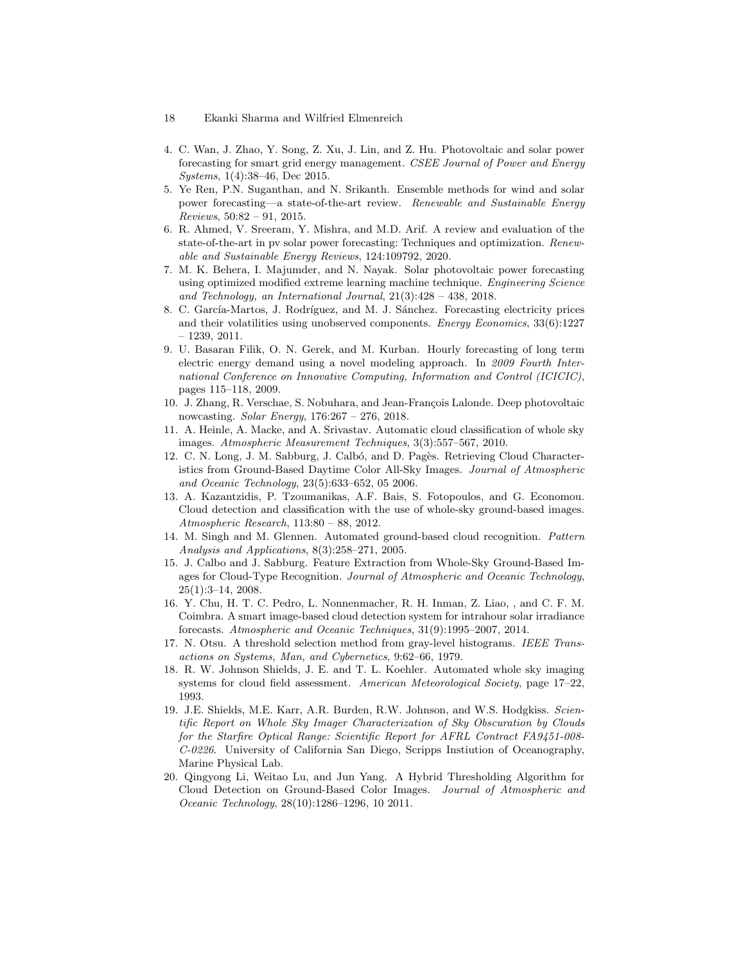- 18 Ekanki Sharma and Wilfried Elmenreich
- <span id="page-17-0"></span>4. C. Wan, J. Zhao, Y. Song, Z. Xu, J. Lin, and Z. Hu. Photovoltaic and solar power forecasting for smart grid energy management. CSEE Journal of Power and Energy Systems, 1(4):38–46, Dec 2015.
- <span id="page-17-1"></span>5. Ye Ren, P.N. Suganthan, and N. Srikanth. Ensemble methods for wind and solar power forecasting—a state-of-the-art review. Renewable and Sustainable Energy Reviews, 50:82 – 91, 2015.
- <span id="page-17-2"></span>6. R. Ahmed, V. Sreeram, Y. Mishra, and M.D. Arif. A review and evaluation of the state-of-the-art in pv solar power forecasting: Techniques and optimization. Renewable and Sustainable Energy Reviews, 124:109792, 2020.
- <span id="page-17-3"></span>7. M. K. Behera, I. Majumder, and N. Nayak. Solar photovoltaic power forecasting using optimized modified extreme learning machine technique. Engineering Science and Technology, an International Journal, 21(3):428 – 438, 2018.
- <span id="page-17-4"></span>8. C. García-Martos, J. Rodríguez, and M. J. Sánchez. Forecasting electricity prices and their volatilities using unobserved components. Energy Economics, 33(6):1227 – 1239, 2011.
- <span id="page-17-5"></span>9. U. Basaran Filik, O. N. Gerek, and M. Kurban. Hourly forecasting of long term electric energy demand using a novel modeling approach. In 2009 Fourth International Conference on Innovative Computing, Information and Control (ICICIC), pages 115–118, 2009.
- <span id="page-17-6"></span>10. J. Zhang, R. Verschae, S. Nobuhara, and Jean-François Lalonde. Deep photovoltaic nowcasting. Solar Energy, 176:267 – 276, 2018.
- <span id="page-17-7"></span>11. A. Heinle, A. Macke, and A. Srivastav. Automatic cloud classification of whole sky images. Atmospheric Measurement Techniques, 3(3):557–567, 2010.
- <span id="page-17-8"></span>12. C. N. Long, J. M. Sabburg, J. Calbó, and D. Pagès. Retrieving Cloud Characteristics from Ground-Based Daytime Color All-Sky Images. Journal of Atmospheric and Oceanic Technology, 23(5):633–652, 05 2006.
- <span id="page-17-9"></span>13. A. Kazantzidis, P. Tzoumanikas, A.F. Bais, S. Fotopoulos, and G. Economou. Cloud detection and classification with the use of whole-sky ground-based images. Atmospheric Research, 113:80 – 88, 2012.
- <span id="page-17-10"></span>14. M. Singh and M. Glennen. Automated ground-based cloud recognition. Pattern Analysis and Applications, 8(3):258–271, 2005.
- <span id="page-17-11"></span>15. J. Calbo and J. Sabburg. Feature Extraction from Whole-Sky Ground-Based Images for Cloud-Type Recognition. Journal of Atmospheric and Oceanic Technology, 25(1):3–14, 2008.
- <span id="page-17-12"></span>16. Y. Chu, H. T. C. Pedro, L. Nonnenmacher, R. H. Inman, Z. Liao, , and C. F. M. Coimbra. A smart image-based cloud detection system for intrahour solar irradiance forecasts. Atmospheric and Oceanic Techniques, 31(9):1995–2007, 2014.
- <span id="page-17-13"></span>17. N. Otsu. A threshold selection method from gray-level histograms. IEEE Transactions on Systems, Man, and Cybernetics, 9:62–66, 1979.
- <span id="page-17-14"></span>18. R. W. Johnson Shields, J. E. and T. L. Koehler. Automated whole sky imaging systems for cloud field assessment. American Meteorological Society, page 17–22, 1993.
- <span id="page-17-15"></span>19. J.E. Shields, M.E. Karr, A.R. Burden, R.W. Johnson, and W.S. Hodgkiss. Scientific Report on Whole Sky Imager Characterization of Sky Obscuration by Clouds for the Starfire Optical Range: Scientific Report for AFRL Contract FA9451-008- C-0226. University of California San Diego, Scripps Instiution of Oceanography, Marine Physical Lab.
- <span id="page-17-16"></span>20. Qingyong Li, Weitao Lu, and Jun Yang. A Hybrid Thresholding Algorithm for Cloud Detection on Ground-Based Color Images. Journal of Atmospheric and Oceanic Technology, 28(10):1286–1296, 10 2011.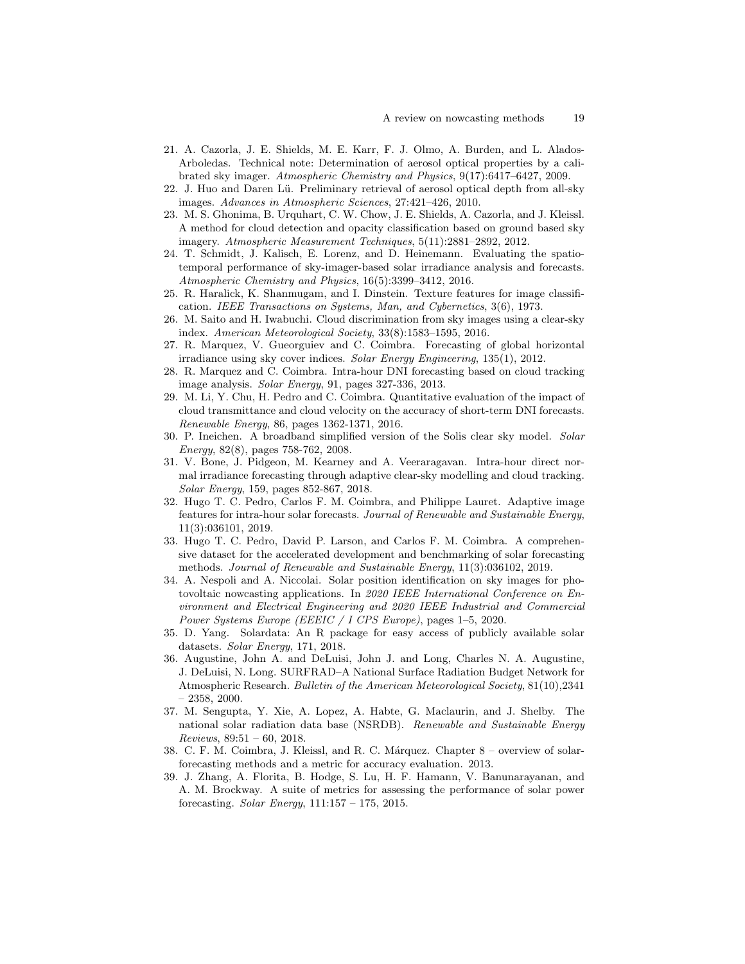- <span id="page-18-0"></span>21. A. Cazorla, J. E. Shields, M. E. Karr, F. J. Olmo, A. Burden, and L. Alados-Arboledas. Technical note: Determination of aerosol optical properties by a calibrated sky imager. Atmospheric Chemistry and Physics, 9(17):6417–6427, 2009.
- <span id="page-18-1"></span>22. J. Huo and Daren Lü. Preliminary retrieval of aerosol optical depth from all-sky images. Advances in Atmospheric Sciences, 27:421–426, 2010.
- <span id="page-18-2"></span>23. M. S. Ghonima, B. Urquhart, C. W. Chow, J. E. Shields, A. Cazorla, and J. Kleissl. A method for cloud detection and opacity classification based on ground based sky imagery. Atmospheric Measurement Techniques, 5(11):2881–2892, 2012.
- <span id="page-18-3"></span>24. T. Schmidt, J. Kalisch, E. Lorenz, and D. Heinemann. Evaluating the spatiotemporal performance of sky-imager-based solar irradiance analysis and forecasts. Atmospheric Chemistry and Physics, 16(5):3399–3412, 2016.
- <span id="page-18-4"></span>25. R. Haralick, K. Shanmugam, and I. Dinstein. Texture features for image classification. IEEE Transactions on Systems, Man, and Cybernetics, 3(6), 1973.
- <span id="page-18-5"></span>26. M. Saito and H. Iwabuchi. Cloud discrimination from sky images using a clear-sky index. American Meteorological Society, 33(8):1583–1595, 2016.
- <span id="page-18-6"></span>27. R. Marquez, V. Gueorguiev and C. Coimbra. Forecasting of global horizontal irradiance using sky cover indices. Solar Energy Engineering, 135(1), 2012.
- <span id="page-18-9"></span>28. R. Marquez and C. Coimbra. Intra-hour DNI forecasting based on cloud tracking image analysis. Solar Energy, 91, pages 327-336, 2013.
- <span id="page-18-10"></span>29. M. Li, Y. Chu, H. Pedro and C. Coimbra. Quantitative evaluation of the impact of cloud transmittance and cloud velocity on the accuracy of short-term DNI forecasts. Renewable Energy, 86, pages 1362-1371, 2016.
- <span id="page-18-11"></span>30. P. Ineichen. A broadband simplified version of the Solis clear sky model. Solar Energy, 82(8), pages 758-762, 2008.
- <span id="page-18-12"></span>31. V. Bone, J. Pidgeon, M. Kearney and A. Veeraragavan. Intra-hour direct normal irradiance forecasting through adaptive clear-sky modelling and cloud tracking. Solar Energy, 159, pages 852-867, 2018.
- <span id="page-18-7"></span>32. Hugo T. C. Pedro, Carlos F. M. Coimbra, and Philippe Lauret. Adaptive image features for intra-hour solar forecasts. Journal of Renewable and Sustainable Energy, 11(3):036101, 2019.
- <span id="page-18-16"></span>33. Hugo T. C. Pedro, David P. Larson, and Carlos F. M. Coimbra. A comprehensive dataset for the accelerated development and benchmarking of solar forecasting methods. Journal of Renewable and Sustainable Energy, 11(3):036102, 2019.
- <span id="page-18-8"></span>34. A. Nespoli and A. Niccolai. Solar position identification on sky images for photovoltaic nowcasting applications. In 2020 IEEE International Conference on Environment and Electrical Engineering and 2020 IEEE Industrial and Commercial Power Systems Europe (EEEIC / I CPS Europe), pages 1–5, 2020.
- <span id="page-18-13"></span>35. D. Yang. Solardata: An R package for easy access of publicly available solar datasets. Solar Energy, 171, 2018.
- <span id="page-18-14"></span>36. Augustine, John A. and DeLuisi, John J. and Long, Charles N. A. Augustine, J. DeLuisi, N. Long. SURFRAD–A National Surface Radiation Budget Network for Atmospheric Research. Bulletin of the American Meteorological Society, 81(10),2341  $-2358, 2000.$
- <span id="page-18-15"></span>37. M. Sengupta, Y. Xie, A. Lopez, A. Habte, G. Maclaurin, and J. Shelby. The national solar radiation data base (NSRDB). Renewable and Sustainable Energy  $Reviews, 89:51 - 60, 2018.$
- <span id="page-18-17"></span>38. C. F. M. Coimbra, J. Kleissl, and R. C. Márquez. Chapter 8 – overview of solarforecasting methods and a metric for accuracy evaluation. 2013.
- <span id="page-18-18"></span>39. J. Zhang, A. Florita, B. Hodge, S. Lu, H. F. Hamann, V. Banunarayanan, and A. M. Brockway. A suite of metrics for assessing the performance of solar power forecasting. Solar Energy,  $111:157 - 175$ ,  $2015$ .